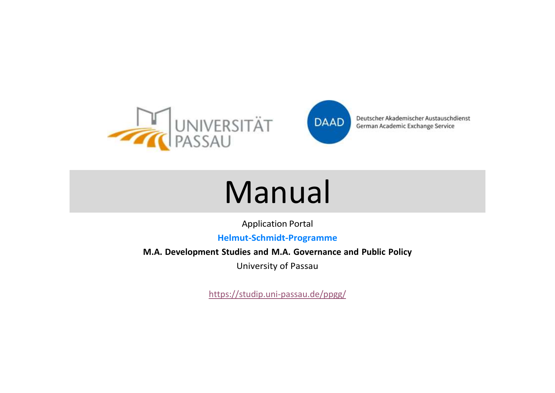



# Manual

Application Portal

**Helmut-Schmidt-Programme**

**M.A. Development Studies and M.A. Governance and Public Policy**

University of Passau

https://studip.uni-passau.de/ppgg/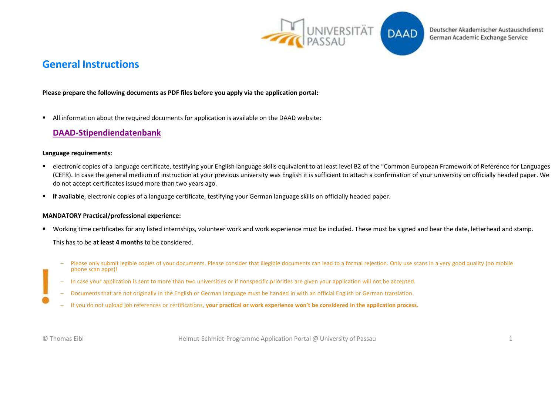

**DAAD** 

### **General Instructions**

### **Please prepare the following documents as PDF files before you apply via the application portal:**

■ All information about the required documents for application is available on the DAAD website:

### **[DAAD-Stipendiendatenbank](https://www2.daad.de/deutschland/stipendium/datenbank/en/21148-scholarship-database/?detail=50026397)**

#### **Language requirements:**

- electronic copies of a language certificate, testifying your English language skills equivalent to at least level B2 of the "Common European Framework of Reference for Languages (CEFR). In case the general medium of instruction at your previous university was English it is sufficient to attach a confirmation of your university on officially headed paper. We do not accept certificates issued more than two years ago.
- **If available**, electronic copies of a language certificate, testifying your German language skills on officially headed paper.

#### **MANDATORY Practical/professional experience:**

▪ Working time certificates for any listed internships, volunteer work and work experience must be included. These must be signed and bear the date, letterhead and stamp.

This has to be **at least 4 months** to be considered.

- Please only submit legible copies of your documents. Please consider that illegible documents can lead to a formal rejection. Only use scans in a very good quality (no mobile phone scan apps)!
- − In case your application is sent to more than two universities or if nonspecific priorities are given your application will not be accepted.
- − Documents that are not originally in the English or German language must be handed in with an official English or German translation.
- − If you do not upload job references or certifications, **your practical or work experience won't be considered in the application process.**

© Thomas Eibl Helmut-Schmidt-Programme Application Portal @ University of Passau 1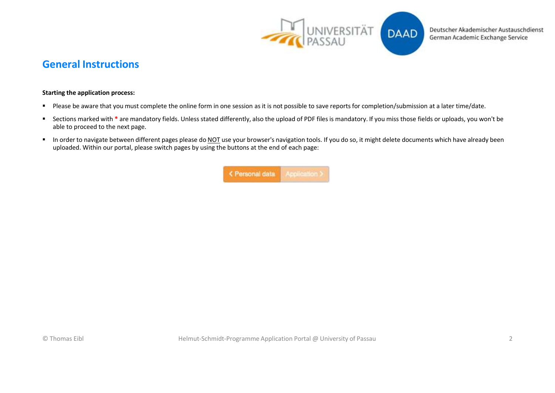

### **General Instructions**

### **Starting the application process:**

- Please be aware that you must complete the online form in one session as it is not possible to save reports for completion/submission at a later time/date.
- Sections marked with \* are mandatory fields. Unless stated differently, also the upload of PDF files is mandatory. If you miss those fields or uploads, you won't be able to proceed to the next page.
- In order to navigate between different pages please do NOT use your browser's navigation tools. If you do so, it might delete documents which have already been uploaded. Within our portal, please switch pages by using the buttons at the end of each page:

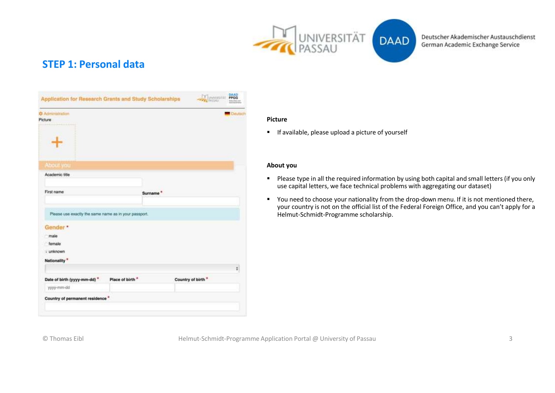

### **STEP 1: Personal data**

| <b>C</b> Administration<br>Picture                    |                  |                      |                   | <b>Cleutec</b> |
|-------------------------------------------------------|------------------|----------------------|-------------------|----------------|
|                                                       |                  |                      |                   |                |
| <b>About you</b>                                      |                  |                      |                   |                |
| Academic title                                        |                  |                      |                   |                |
| First name                                            |                  | Surname <sup>*</sup> |                   |                |
| Please use exactly the same name as in your passport. |                  |                      |                   |                |
| Gender*                                               |                  |                      |                   |                |
|                                                       |                  |                      |                   |                |
| male                                                  |                  |                      |                   |                |
| female                                                |                  |                      |                   |                |
| - unknown                                             |                  |                      |                   |                |
| Nationality <sup>*</sup>                              |                  |                      |                   |                |
| Date of birth (yyyy-mm-dd) *                          | Place of birth." |                      | Country of birth" | ŧ              |
| yyyy-mm-dd                                            |                  |                      |                   |                |

#### **Picture**

■ If available, please upload a picture of yourself

### **About you**

- Please type in all the required information by using both capital and small letters (if you only use capital letters, we face technical problems with aggregating our dataset)
- You need to choose your nationality from the drop-down menu. If it is not mentioned there, your country is not on the official list of the Federal Foreign Office, and you can't apply for a Helmut-Schmidt-Programme scholarship.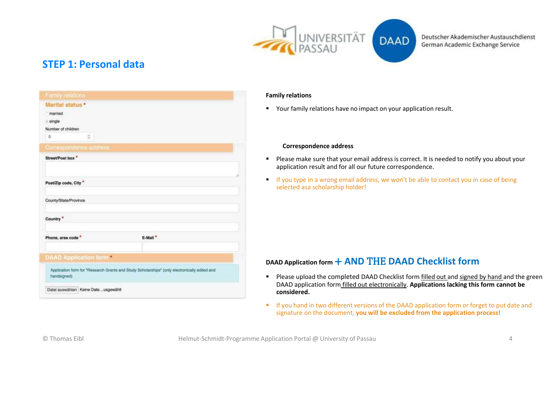

### **STEP 1: Personal data**

| Marital status *                    |                                                                                               |
|-------------------------------------|-----------------------------------------------------------------------------------------------|
| married                             |                                                                                               |
| - single                            |                                                                                               |
| Number of children                  |                                                                                               |
| $\lesssim$<br>Ð                     |                                                                                               |
| Correspondence address              |                                                                                               |
| Street/Post box."                   |                                                                                               |
|                                     |                                                                                               |
|                                     |                                                                                               |
| Post/Zip code, City*                |                                                                                               |
|                                     |                                                                                               |
| County/State/Province               |                                                                                               |
| Country <sup>*</sup>                |                                                                                               |
| Phone, area code                    | E-Mail <sup>*</sup>                                                                           |
|                                     |                                                                                               |
| <b>DAAD Application form</b>        |                                                                                               |
|                                     |                                                                                               |
| handsigned)                         | Application form for "Research Grants and Study Scholarships" (only electronically edited and |
| Datei auswählen Keine Dateusgewählt |                                                                                               |

### **Family relations**

■ Your family relations have no impact on your application result.

### **Correspondence address**

- Please make sure that your email address is correct. It is needed to notify you about your application result and for all our future correspondence.
- **If you type in a wrong email address, we won't be able to contact you in case of being** selected asa scholarship holder!

### **DAAD Application form** + **AND** THE **DAAD Checklist form**

- Please upload the completed DAAD Checklist form filled out and signed by hand and the green DAAD application form filled out electronically. **Applications lacking this form cannot be considered.**
- If you hand in two different versions of the DAAD application form or forget to put date and signature on the document, **you will be excluded from the application process!**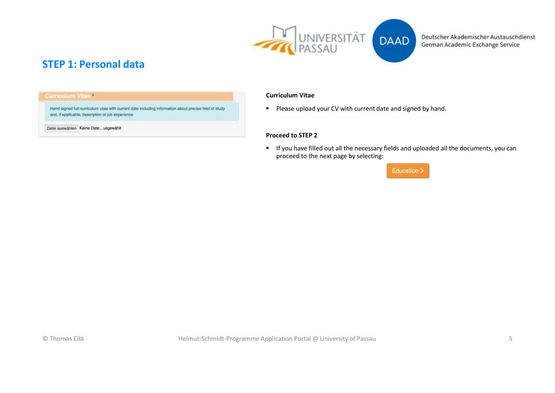

### **STEP 1: Personal data**

#### **Curriculum Vitael**

Hand-signed full curriculum vitae with current date including information about precise field of study and, if applicable, description of job experience

Datei auswählen Keine Date...usgewählt

#### **Curriculum Vitae**

■ Please upload your CV with current date and signed by hand.

### **Proceed to STEP 2**

■ If you have filled out all the necessary fields and uploaded all the documents, you can proceed to the next page by selecting:

### Education >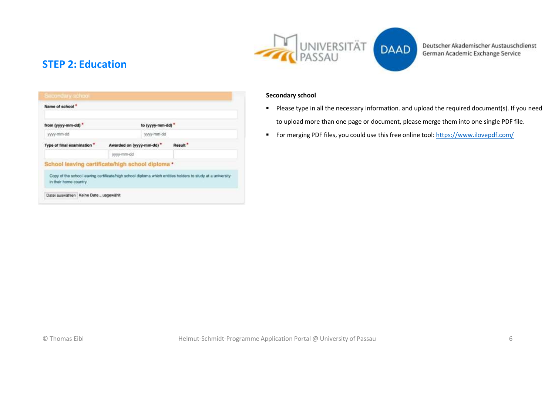

### **STEP 2: Education**

| Name of school"                                  |                                      |                 |                                                                                                            |
|--------------------------------------------------|--------------------------------------|-----------------|------------------------------------------------------------------------------------------------------------|
| from (yyyy-mm-dd) *                              |                                      | to (yyyy-mm-dd) |                                                                                                            |
| yyyy-mm-dd                                       |                                      | yyyy-mm-dd      |                                                                                                            |
| Type of final examination *                      | Awarded on (yyyy-mm-dd) <sup>*</sup> |                 | Result <sup>*</sup>                                                                                        |
|                                                  | yyyy-mm-dd                           |                 |                                                                                                            |
| School leaving certificate/high school diploma * |                                      |                 |                                                                                                            |
| in their home country                            |                                      |                 | Copy of the school leaving certificate/high school diploma which entities holders to study at a university |

### **Secondary school**

- Please type in all the necessary information. and upload the required document(s). If you need to upload more than one page or document, please merge them into one single PDF file.
- For merging PDF files, you could use this free online tool: https:/[/www.ilovepdf.com/](http://www.ilovepdf.com/)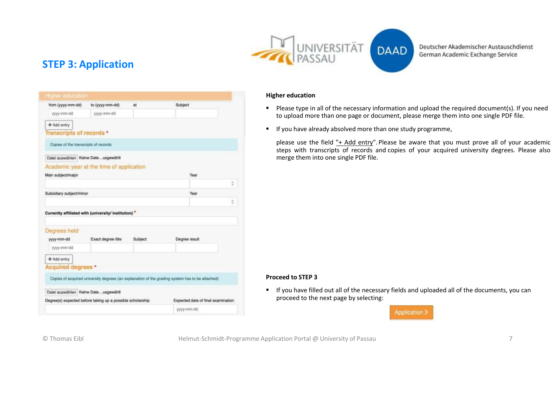

**DAAD** 

Deutscher Akademischer Austauschdienst German Academic Exchange Service

### **STEP 3: Application**

| from (yyyy-mm-dd)                                           | to (yyyy-mm-dd)                                            | at      | Subject                                                                                         |   |
|-------------------------------------------------------------|------------------------------------------------------------|---------|-------------------------------------------------------------------------------------------------|---|
| yyyy-mm-dd                                                  | yyyy-mm-dd                                                 |         |                                                                                                 |   |
| + Add entry                                                 |                                                            |         |                                                                                                 |   |
| Transcripts of records *                                    |                                                            |         |                                                                                                 |   |
| Copies of the transcripts of records                        |                                                            |         |                                                                                                 |   |
| Datei auswählen Keine Dateusgewählt                         |                                                            |         |                                                                                                 |   |
|                                                             | Academic year at the time of application                   |         |                                                                                                 |   |
| Main subject/major                                          |                                                            |         | Year                                                                                            |   |
|                                                             |                                                            |         |                                                                                                 | Φ |
| Subsidiary subject/minor                                    |                                                            |         | Year                                                                                            |   |
|                                                             |                                                            |         |                                                                                                 | ċ |
|                                                             | Currently affiliated with (university/ institution) *      |         |                                                                                                 |   |
|                                                             |                                                            |         |                                                                                                 |   |
| Degrees held                                                |                                                            |         |                                                                                                 |   |
| yyyy-mm-dd                                                  | Exact degree title                                         | Subject | Degree result                                                                                   |   |
| yyyy-mm-dd                                                  |                                                            |         |                                                                                                 |   |
|                                                             |                                                            |         |                                                                                                 |   |
| + Add entry                                                 |                                                            |         |                                                                                                 |   |
|                                                             |                                                            |         |                                                                                                 |   |
|                                                             |                                                            |         |                                                                                                 |   |
|                                                             |                                                            |         | Copies of acquired university degrees (an explanation of the grading system has to be attached) |   |
|                                                             |                                                            |         |                                                                                                 |   |
| Acquired degrees *<br>Datei auswählen Keine Date  usgewählt | Degree(s) expected before taking up a possible scholarship |         | Expected date of final examination                                                              |   |

### **Higher education**

- Please type in all of the necessary information and upload the required document(s). If you need to upload more than one page or document, please merge them into one single PDF file.
- **E** If you have already absolved more than one study programme,

please use the field "+ Add entry". Please be aware that you must prove all of your academic steps with transcripts of records and copies of your acquired university degrees. Please also merge them into one single PDF file.

#### **Proceed to STEP 3**

▪ If you have filled out all of the necessary fields and uploaded all of the documents, you can proceed to the next page by selecting:

**Application**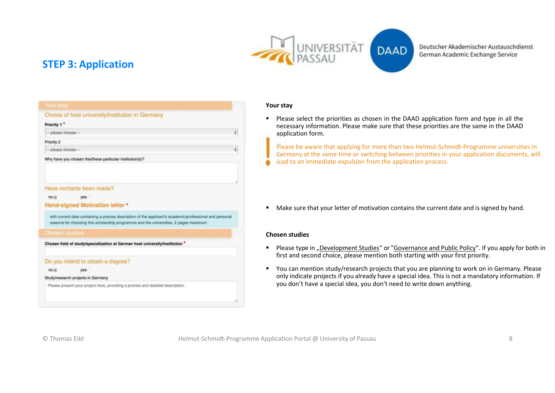



### **STEP 3: Application**

| Your stay                                                                                                                                                                                         |   |
|---------------------------------------------------------------------------------------------------------------------------------------------------------------------------------------------------|---|
| Choice of host university/institution in Germany                                                                                                                                                  |   |
| Priority 1 *                                                                                                                                                                                      |   |
| $-$ please choose $-$                                                                                                                                                                             | ٥ |
| Priority 2                                                                                                                                                                                        |   |
| $-$ please choose $-$                                                                                                                                                                             | ÷ |
| Why have you chosen this/these particular institution(s)?                                                                                                                                         |   |
|                                                                                                                                                                                                   |   |
|                                                                                                                                                                                                   |   |
| Have contacts been made?                                                                                                                                                                          |   |
| no @<br>yes.                                                                                                                                                                                      |   |
| Hand-signed Motivation letter *                                                                                                                                                                   |   |
| with current date containing a precise description of the applicant's academic/professional and personal<br>reasons for choosing this scholarship programme and the universities, 2 pages maximum |   |
| <b>Chosen studies</b>                                                                                                                                                                             |   |
| Chosen field of study/specialization at German host university/institution *                                                                                                                      |   |
|                                                                                                                                                                                                   |   |
| Do you intend to obtain a degree?                                                                                                                                                                 |   |
| no ci<br>yes                                                                                                                                                                                      |   |
| Study/research projects in Germany                                                                                                                                                                |   |
| Please present your project here, providing a precise and detailed description.                                                                                                                   |   |
|                                                                                                                                                                                                   |   |
|                                                                                                                                                                                                   |   |

#### Your stay

۵

■ Please select the priorities as chosen in the DAAD application form and type in all the necessary information. Please make sure that these priorities are the same in the DAAD application form.

Please be aware that applying for more than two Helmut-Schmidt-Programme universities in Germany at the same time or switching between priorities in your application documents, will lead to an immediate expulsion from the application process.

■ Make sure that your letter of motivation contains the current date and is signed by hand.

### **Chosen studies**

- Please type in "Development Studies" or "Governance and Public Policy". If you apply for both in first and second choice, please mention both starting with your first priority.
- You can mention study/research projects that you are planning to work on in Germany. Please only indicate projects if you already have a special idea. This is not a mandatory information. If you don't have a special idea, you don't need to write down anything.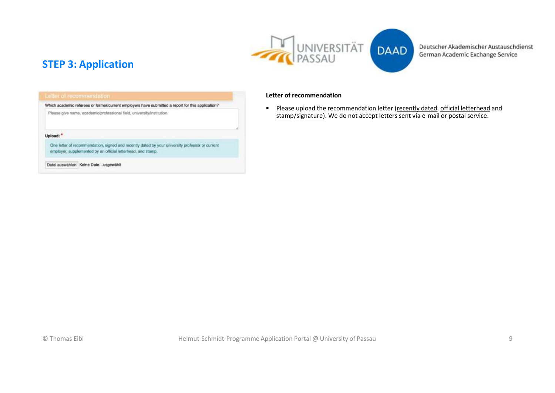



### **STEP 3: Application**

Which academic referees or former/current employers have submitted a report for this application?

Please give name, academic/professional field, university/institution.

#### Upload: \*

One letter of recommendation, signed and recently dated by your university professor or current employer, supplemented by an official letterhead, and stamp.

Datei auswählen Keine Date...usgewählt

#### **Letter of recommendation**

■ Please upload the recommendation letter (recently dated, official letterhead and stamp/signature). We do not accept letters sent via e-mail or postal service.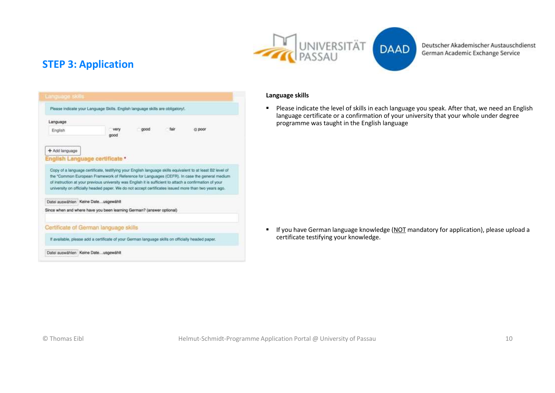

DAAD

Deutscher Akademischer Austauschdienst German Academic Exchange Service

### **STEP 3: Application**



### **Language skills**

■ Please indicate the level of skills in each language you speak. After that, we need an English language certificate or a confirmation of your university that your whole under degree programme was taught in the English language

■ If you have German language knowledge (NOT mandatory for application), please upload a certificate testifying your knowledge.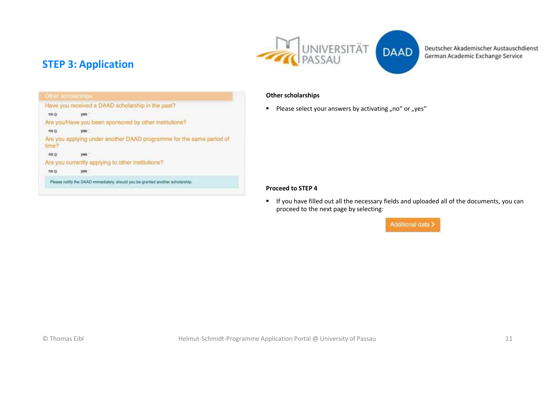

### **STEP 3: Application**

|                 | Have you received a DAAD scholarship in the past?                    |
|-----------------|----------------------------------------------------------------------|
| no <sub>0</sub> | yes                                                                  |
|                 | Are you/Have you been sponsored by other institutions?               |
| no c            | yes.                                                                 |
| time?           | Are you applying under another DAAD programme for the same period of |
| no <sub>0</sub> | <b>VES</b>                                                           |
|                 | Are you currently applying to other institutions?                    |
| no <sub>0</sub> | yes.                                                                 |

### **Other scholarships**

**•** Please select your answers by activating "no" or "yes"

#### **Proceed to STEP 4**

■ If you have filled out all the necessary fields and uploaded all of the documents, you can proceed to the next page by selecting:

Additional data >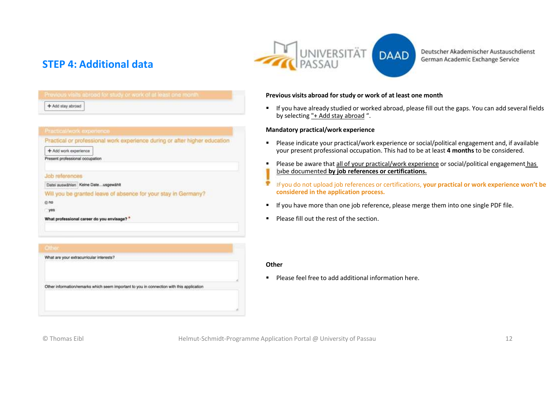

### **STEP 4: Additional data**

|                      | Previous visits abroad for study or work of at least one month. |  |
|----------------------|-----------------------------------------------------------------|--|
| + Add stay abroad    |                                                                 |  |
|                      |                                                                 |  |
|                      |                                                                 |  |
|                      |                                                                 |  |
| thealAvork avranness |                                                                 |  |

Practical or professional work experience during or after higher education

+ Add work experience

Present professional occupation

Job references

Datei auswählen Keine Date ... usgewählt

Will you be granted leave of absence for your stay in Germany?

 $0 no$ 

yes

What professional career do you envisage? \*

### **Previous visits abroad for study or work of at least one month**

▪ If you have already studied or worked abroad, please fill out the gaps. You can add several fields by selecting "+ Add stay abroad ".

### **Mandatory practical/work experience**

- Please indicate your practical/work experience or social/political engagement and, if available your present professional occupation. This had to be at least **4 months** to be considered.
- Please be aware that all of your practical/work experience or social/political engagement has b<sub>i</sub>be documented by job references or certifications.
- If you do not upload job references or certifications, **your practical or work experience won't be considered in the application process.**
- If you have more than one job reference, please merge them into one single PDF file.
- Please fill out the rest of the section.

#### **Other**

■ Please feel free to add additional information here.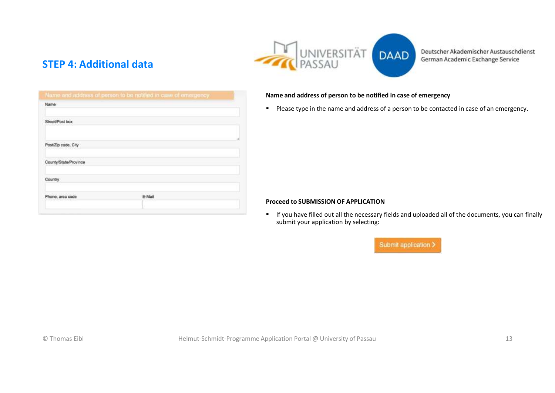

### **STEP 4: Additional data**

Deutscher Akademischer Austauschdienst German Academic Exchange Service

| Name                  | Name and address of person to be notified in case of emergency. |  |
|-----------------------|-----------------------------------------------------------------|--|
|                       |                                                                 |  |
| Street/Post box       |                                                                 |  |
|                       |                                                                 |  |
| Post/Zip code, City   |                                                                 |  |
| County/State/Province |                                                                 |  |
|                       |                                                                 |  |
| Country               |                                                                 |  |
| Phone, area code      | E-Mail                                                          |  |
|                       |                                                                 |  |

### **Name and address of person to be notified in case of emergency**

■ Please type in the name and address of a person to be contacted in case of an emergency.

#### **Proceed to SUBMISSION OF APPLICATION**

■ If you have filled out all the necessary fields and uploaded all of the documents, you can finally submit your application by selecting: